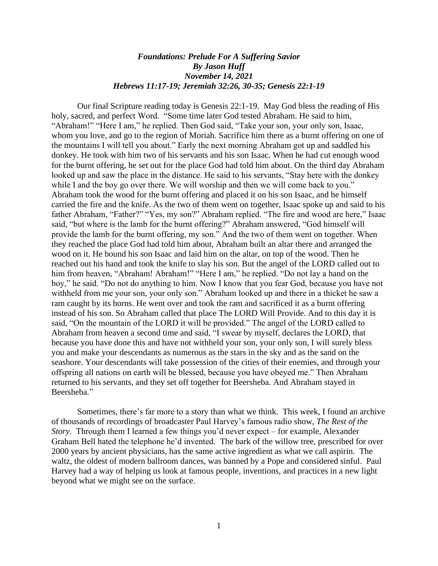## *Foundations: Prelude For A Suffering Savior By Jason Huff November 14, 2021 Hebrews 11:17-19; Jeremiah 32:26, 30-35; Genesis 22:1-19*

Our final Scripture reading today is Genesis 22:1-19. May God bless the reading of His holy, sacred, and perfect Word. "Some time later God tested Abraham. He said to him, "Abraham!" "Here I am," he replied. Then God said, "Take your son, your only son, Isaac, whom you love, and go to the region of Moriah. Sacrifice him there as a burnt offering on one of the mountains I will tell you about." Early the next morning Abraham got up and saddled his donkey. He took with him two of his servants and his son Isaac. When he had cut enough wood for the burnt offering, he set out for the place God had told him about. On the third day Abraham looked up and saw the place in the distance. He said to his servants, "Stay here with the donkey while I and the boy go over there. We will worship and then we will come back to you." Abraham took the wood for the burnt offering and placed it on his son Isaac, and he himself carried the fire and the knife. As the two of them went on together, Isaac spoke up and said to his father Abraham, "Father?" "Yes, my son?" Abraham replied. "The fire and wood are here," Isaac said, "but where is the lamb for the burnt offering?" Abraham answered, "God himself will provide the lamb for the burnt offering, my son." And the two of them went on together. When they reached the place God had told him about, Abraham built an altar there and arranged the wood on it. He bound his son Isaac and laid him on the altar, on top of the wood. Then he reached out his hand and took the knife to slay his son. But the angel of the LORD called out to him from heaven, "Abraham! Abraham!" "Here I am," he replied. "Do not lay a hand on the boy," he said. "Do not do anything to him. Now I know that you fear God, because you have not withheld from me your son, your only son." Abraham looked up and there in a thicket he saw a ram caught by its horns. He went over and took the ram and sacrificed it as a burnt offering instead of his son. So Abraham called that place The LORD Will Provide. And to this day it is said, "On the mountain of the LORD it will be provided." The angel of the LORD called to Abraham from heaven a second time and said, "I swear by myself, declares the LORD, that because you have done this and have not withheld your son, your only son, I will surely bless you and make your descendants as numerous as the stars in the sky and as the sand on the seashore. Your descendants will take possession of the cities of their enemies, and through your offspring all nations on earth will be blessed, because you have obeyed me." Then Abraham returned to his servants, and they set off together for Beersheba. And Abraham stayed in Beersheba."

Sometimes, there's far more to a story than what we think. This week, I found an archive of thousands of recordings of broadcaster Paul Harvey's famous radio show, *The Rest of the Story*. Through them I learned a few things you'd never expect – for example, Alexander Graham Bell hated the telephone he'd invented. The bark of the willow tree, prescribed for over 2000 years by ancient physicians, has the same active ingredient as what we call aspirin. The waltz, the oldest of modern ballroom dances, was banned by a Pope and considered sinful. Paul Harvey had a way of helping us look at famous people, inventions, and practices in a new light beyond what we might see on the surface.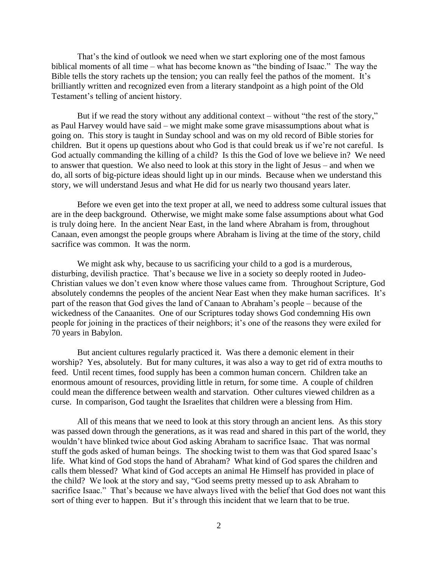That's the kind of outlook we need when we start exploring one of the most famous biblical moments of all time – what has become known as "the binding of Isaac." The way the Bible tells the story rachets up the tension; you can really feel the pathos of the moment. It's brilliantly written and recognized even from a literary standpoint as a high point of the Old Testament's telling of ancient history.

But if we read the story without any additional context – without "the rest of the story," as Paul Harvey would have said – we might make some grave misassumptions about what is going on. This story is taught in Sunday school and was on my old record of Bible stories for children. But it opens up questions about who God is that could break us if we're not careful. Is God actually commanding the killing of a child? Is this the God of love we believe in? We need to answer that question. We also need to look at this story in the light of Jesus – and when we do, all sorts of big-picture ideas should light up in our minds. Because when we understand this story, we will understand Jesus and what He did for us nearly two thousand years later.

Before we even get into the text proper at all, we need to address some cultural issues that are in the deep background. Otherwise, we might make some false assumptions about what God is truly doing here. In the ancient Near East, in the land where Abraham is from, throughout Canaan, even amongst the people groups where Abraham is living at the time of the story, child sacrifice was common. It was the norm.

We might ask why, because to us sacrificing your child to a god is a murderous, disturbing, devilish practice. That's because we live in a society so deeply rooted in Judeo-Christian values we don't even know where those values came from. Throughout Scripture, God absolutely condemns the peoples of the ancient Near East when they make human sacrifices. It's part of the reason that God gives the land of Canaan to Abraham's people – because of the wickedness of the Canaanites. One of our Scriptures today shows God condemning His own people for joining in the practices of their neighbors; it's one of the reasons they were exiled for 70 years in Babylon.

But ancient cultures regularly practiced it. Was there a demonic element in their worship? Yes, absolutely. But for many cultures, it was also a way to get rid of extra mouths to feed. Until recent times, food supply has been a common human concern. Children take an enormous amount of resources, providing little in return, for some time. A couple of children could mean the difference between wealth and starvation. Other cultures viewed children as a curse. In comparison, God taught the Israelites that children were a blessing from Him.

All of this means that we need to look at this story through an ancient lens. As this story was passed down through the generations, as it was read and shared in this part of the world, they wouldn't have blinked twice about God asking Abraham to sacrifice Isaac. That was normal stuff the gods asked of human beings. The shocking twist to them was that God spared Isaac's life. What kind of God stops the hand of Abraham? What kind of God spares the children and calls them blessed? What kind of God accepts an animal He Himself has provided in place of the child? We look at the story and say, "God seems pretty messed up to ask Abraham to sacrifice Isaac." That's because we have always lived with the belief that God does not want this sort of thing ever to happen. But it's through this incident that we learn that to be true.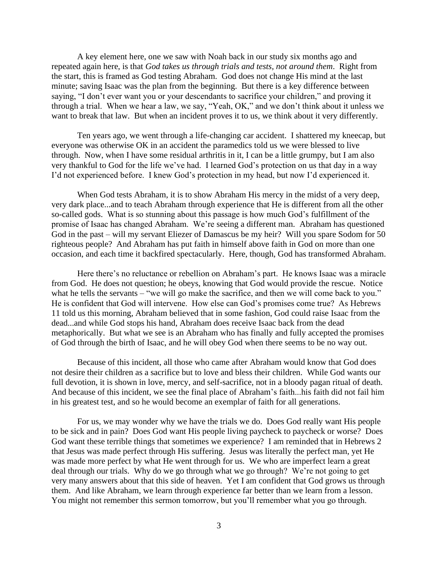A key element here, one we saw with Noah back in our study six months ago and repeated again here, is that *God takes us through trials and tests, not around them*. Right from the start, this is framed as God testing Abraham. God does not change His mind at the last minute; saving Isaac was the plan from the beginning. But there is a key difference between saying, "I don't ever want you or your descendants to sacrifice your children," and proving it through a trial. When we hear a law, we say, "Yeah, OK," and we don't think about it unless we want to break that law. But when an incident proves it to us, we think about it very differently.

Ten years ago, we went through a life-changing car accident. I shattered my kneecap, but everyone was otherwise OK in an accident the paramedics told us we were blessed to live through. Now, when I have some residual arthritis in it, I can be a little grumpy, but I am also very thankful to God for the life we've had. I learned God's protection on us that day in a way I'd not experienced before. I knew God's protection in my head, but now I'd experienced it.

When God tests Abraham, it is to show Abraham His mercy in the midst of a very deep, very dark place...and to teach Abraham through experience that He is different from all the other so-called gods. What is so stunning about this passage is how much God's fulfillment of the promise of Isaac has changed Abraham. We're seeing a different man. Abraham has questioned God in the past – will my servant Eliezer of Damascus be my heir? Will you spare Sodom for 50 righteous people? And Abraham has put faith in himself above faith in God on more than one occasion, and each time it backfired spectacularly. Here, though, God has transformed Abraham.

Here there's no reluctance or rebellion on Abraham's part. He knows Isaac was a miracle from God. He does not question; he obeys, knowing that God would provide the rescue. Notice what he tells the servants – "we will go make the sacrifice, and then we will come back to you." He is confident that God will intervene. How else can God's promises come true? As Hebrews 11 told us this morning, Abraham believed that in some fashion, God could raise Isaac from the dead...and while God stops his hand, Abraham does receive Isaac back from the dead metaphorically. But what we see is an Abraham who has finally and fully accepted the promises of God through the birth of Isaac, and he will obey God when there seems to be no way out.

Because of this incident, all those who came after Abraham would know that God does not desire their children as a sacrifice but to love and bless their children. While God wants our full devotion, it is shown in love, mercy, and self-sacrifice, not in a bloody pagan ritual of death. And because of this incident, we see the final place of Abraham's faith...his faith did not fail him in his greatest test, and so he would become an exemplar of faith for all generations.

For us, we may wonder why we have the trials we do. Does God really want His people to be sick and in pain? Does God want His people living paycheck to paycheck or worse? Does God want these terrible things that sometimes we experience? I am reminded that in Hebrews 2 that Jesus was made perfect through His suffering. Jesus was literally the perfect man, yet He was made more perfect by what He went through for us. We who are imperfect learn a great deal through our trials. Why do we go through what we go through? We're not going to get very many answers about that this side of heaven. Yet I am confident that God grows us through them. And like Abraham, we learn through experience far better than we learn from a lesson. You might not remember this sermon tomorrow, but you'll remember what you go through.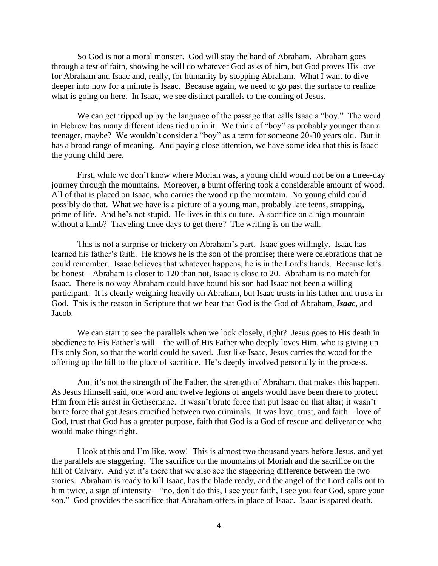So God is not a moral monster. God will stay the hand of Abraham. Abraham goes through a test of faith, showing he will do whatever God asks of him, but God proves His love for Abraham and Isaac and, really, for humanity by stopping Abraham. What I want to dive deeper into now for a minute is Isaac. Because again, we need to go past the surface to realize what is going on here. In Isaac, we see distinct parallels to the coming of Jesus.

We can get tripped up by the language of the passage that calls Isaac a "boy." The word in Hebrew has many different ideas tied up in it. We think of "boy" as probably younger than a teenager, maybe? We wouldn't consider a "boy" as a term for someone 20-30 years old. But it has a broad range of meaning. And paying close attention, we have some idea that this is Isaac the young child here.

First, while we don't know where Moriah was, a young child would not be on a three-day journey through the mountains. Moreover, a burnt offering took a considerable amount of wood. All of that is placed on Isaac, who carries the wood up the mountain. No young child could possibly do that. What we have is a picture of a young man, probably late teens, strapping, prime of life. And he's not stupid. He lives in this culture. A sacrifice on a high mountain without a lamb? Traveling three days to get there? The writing is on the wall.

This is not a surprise or trickery on Abraham's part. Isaac goes willingly. Isaac has learned his father's faith. He knows he is the son of the promise; there were celebrations that he could remember. Isaac believes that whatever happens, he is in the Lord's hands. Because let's be honest – Abraham is closer to 120 than not, Isaac is close to 20. Abraham is no match for Isaac. There is no way Abraham could have bound his son had Isaac not been a willing participant. It is clearly weighing heavily on Abraham, but Isaac trusts in his father and trusts in God. This is the reason in Scripture that we hear that God is the God of Abraham, *Isaac*, and Jacob.

We can start to see the parallels when we look closely, right? Jesus goes to His death in obedience to His Father's will – the will of His Father who deeply loves Him, who is giving up His only Son, so that the world could be saved. Just like Isaac, Jesus carries the wood for the offering up the hill to the place of sacrifice. He's deeply involved personally in the process.

And it's not the strength of the Father, the strength of Abraham, that makes this happen. As Jesus Himself said, one word and twelve legions of angels would have been there to protect Him from His arrest in Gethsemane. It wasn't brute force that put Isaac on that altar; it wasn't brute force that got Jesus crucified between two criminals. It was love, trust, and faith – love of God, trust that God has a greater purpose, faith that God is a God of rescue and deliverance who would make things right.

I look at this and I'm like, wow! This is almost two thousand years before Jesus, and yet the parallels are staggering. The sacrifice on the mountains of Moriah and the sacrifice on the hill of Calvary. And yet it's there that we also see the staggering difference between the two stories. Abraham is ready to kill Isaac, has the blade ready, and the angel of the Lord calls out to him twice, a sign of intensity – "no, don't do this, I see your faith, I see you fear God, spare your son." God provides the sacrifice that Abraham offers in place of Isaac. Isaac is spared death.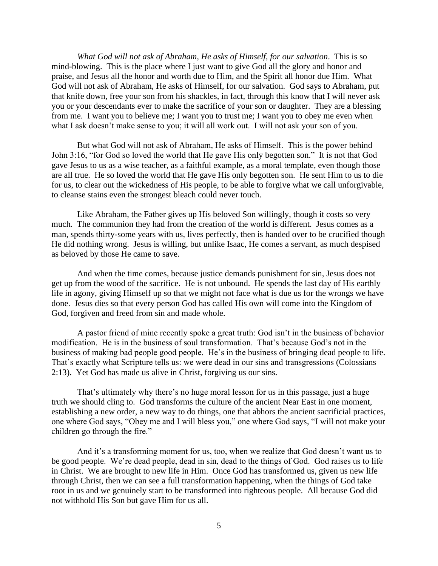*What God will not ask of Abraham, He asks of Himself, for our salvation*. This is so mind-blowing. This is the place where I just want to give God all the glory and honor and praise, and Jesus all the honor and worth due to Him, and the Spirit all honor due Him. What God will not ask of Abraham, He asks of Himself, for our salvation. God says to Abraham, put that knife down, free your son from his shackles, in fact, through this know that I will never ask you or your descendants ever to make the sacrifice of your son or daughter. They are a blessing from me. I want you to believe me; I want you to trust me; I want you to obey me even when what I ask doesn't make sense to you; it will all work out. I will not ask your son of you.

But what God will not ask of Abraham, He asks of Himself. This is the power behind John 3:16, "for God so loved the world that He gave His only begotten son." It is not that God gave Jesus to us as a wise teacher, as a faithful example, as a moral template, even though those are all true. He so loved the world that He gave His only begotten son. He sent Him to us to die for us, to clear out the wickedness of His people, to be able to forgive what we call unforgivable, to cleanse stains even the strongest bleach could never touch.

Like Abraham, the Father gives up His beloved Son willingly, though it costs so very much. The communion they had from the creation of the world is different. Jesus comes as a man, spends thirty-some years with us, lives perfectly, then is handed over to be crucified though He did nothing wrong. Jesus is willing, but unlike Isaac, He comes a servant, as much despised as beloved by those He came to save.

And when the time comes, because justice demands punishment for sin, Jesus does not get up from the wood of the sacrifice. He is not unbound. He spends the last day of His earthly life in agony, giving Himself up so that we might not face what is due us for the wrongs we have done. Jesus dies so that every person God has called His own will come into the Kingdom of God, forgiven and freed from sin and made whole.

A pastor friend of mine recently spoke a great truth: God isn't in the business of behavior modification. He is in the business of soul transformation. That's because God's not in the business of making bad people good people. He's in the business of bringing dead people to life. That's exactly what Scripture tells us: we were dead in our sins and transgressions (Colossians 2:13). Yet God has made us alive in Christ, forgiving us our sins.

That's ultimately why there's no huge moral lesson for us in this passage, just a huge truth we should cling to. God transforms the culture of the ancient Near East in one moment, establishing a new order, a new way to do things, one that abhors the ancient sacrificial practices, one where God says, "Obey me and I will bless you," one where God says, "I will not make your children go through the fire."

And it's a transforming moment for us, too, when we realize that God doesn't want us to be good people. We're dead people, dead in sin, dead to the things of God. God raises us to life in Christ. We are brought to new life in Him. Once God has transformed us, given us new life through Christ, then we can see a full transformation happening, when the things of God take root in us and we genuinely start to be transformed into righteous people. All because God did not withhold His Son but gave Him for us all.